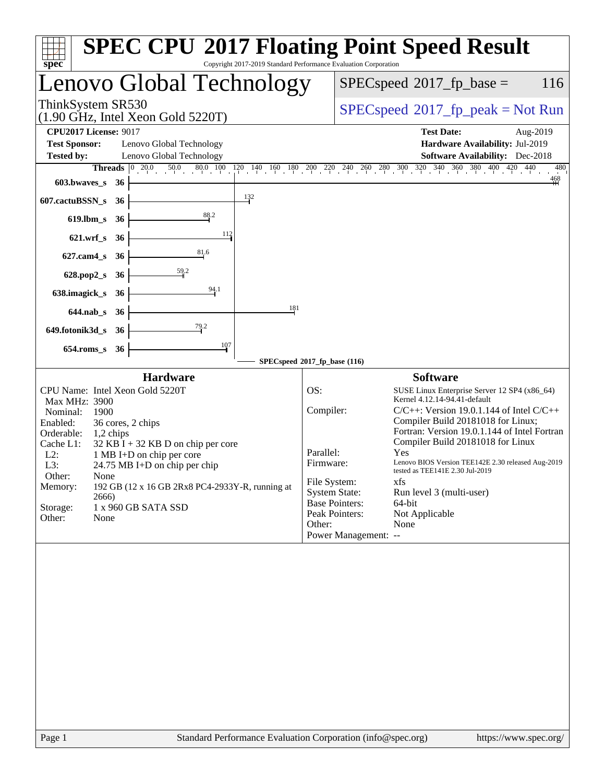| <b>SPEC CPU®2017 Floating Point Speed Result</b><br>Copyright 2017-2019 Standard Performance Evaluation Corporation<br>spec <sup>®</sup> |                                                                                                                                                                                                        |  |  |  |  |
|------------------------------------------------------------------------------------------------------------------------------------------|--------------------------------------------------------------------------------------------------------------------------------------------------------------------------------------------------------|--|--|--|--|
| Lenovo Global Technology                                                                                                                 | $SPEC speed^{\circ}2017$ _fp_base =<br>116                                                                                                                                                             |  |  |  |  |
| ThinkSystem SR530<br>$(1.90 \text{ GHz}, \text{Intel Xeon Gold } 5220 \text{T})$                                                         | $SPEC speed^{\circ}2017\_fp\_peak = Not Run$                                                                                                                                                           |  |  |  |  |
| <b>CPU2017 License: 9017</b>                                                                                                             | <b>Test Date:</b><br>Aug-2019                                                                                                                                                                          |  |  |  |  |
| <b>Test Sponsor:</b><br>Lenovo Global Technology                                                                                         | Hardware Availability: Jul-2019                                                                                                                                                                        |  |  |  |  |
| <b>Tested by:</b><br>Lenovo Global Technology                                                                                            | <b>Software Availability:</b> Dec-2018                                                                                                                                                                 |  |  |  |  |
| 603.bwaves_s<br>-36                                                                                                                      | <b>Threads</b> $\begin{bmatrix} 0 & 20.0 & 50.0 & 80.0 & 100 & 120 & 140 & 160 & 180 & 200 & 240 & 260 & 280 & 300 & 320 & 340 & 360 & 380 & 400 & 420 & 440 \end{bmatrix}$<br>480<br>$\frac{468}{11}$ |  |  |  |  |
| $\frac{132}{2}$<br>607.cactuBSSN_s<br>36                                                                                                 |                                                                                                                                                                                                        |  |  |  |  |
| 88.2<br>$619$ .lbm_s<br>36                                                                                                               |                                                                                                                                                                                                        |  |  |  |  |
| 112<br>$621.wrf$ <sub>S</sub><br>- 36                                                                                                    |                                                                                                                                                                                                        |  |  |  |  |
| 81.6<br>$627$ .cam $4_s$<br>36                                                                                                           |                                                                                                                                                                                                        |  |  |  |  |
| 628.pop2_s<br>36                                                                                                                         |                                                                                                                                                                                                        |  |  |  |  |
| 94.1<br>638.imagick_s<br>36                                                                                                              |                                                                                                                                                                                                        |  |  |  |  |
| 181<br>$644$ .nab_s<br>- 36                                                                                                              |                                                                                                                                                                                                        |  |  |  |  |
| 79.2<br>649.fotonik3d_s 36                                                                                                               |                                                                                                                                                                                                        |  |  |  |  |
| 107<br>$654$ .roms_s<br>36                                                                                                               |                                                                                                                                                                                                        |  |  |  |  |
|                                                                                                                                          | SPECspeed®2017_fp_base (116)                                                                                                                                                                           |  |  |  |  |
| <b>Hardware</b>                                                                                                                          | <b>Software</b>                                                                                                                                                                                        |  |  |  |  |
| CPU Name: Intel Xeon Gold 5220T<br><b>Max MHz: 3900</b>                                                                                  | OS:<br>SUSE Linux Enterprise Server 12 SP4 (x86_64)<br>Kernel 4.12.14-94.41-default                                                                                                                    |  |  |  |  |
| Nominal:<br>1900                                                                                                                         | Compiler:<br>$C/C++$ : Version 19.0.1.144 of Intel $C/C++$                                                                                                                                             |  |  |  |  |
| Enabled:<br>36 cores, 2 chips                                                                                                            | Compiler Build 20181018 for Linux;                                                                                                                                                                     |  |  |  |  |
| Orderable:<br>$1,2$ chips                                                                                                                | Fortran: Version 19.0.1.144 of Intel Fortran<br>Compiler Build 20181018 for Linux                                                                                                                      |  |  |  |  |
| Cache L1:<br>$32$ KB I + 32 KB D on chip per core<br>$L2$ :<br>1 MB I+D on chip per core                                                 | Parallel:<br>Yes                                                                                                                                                                                       |  |  |  |  |
| $24.75 \text{ MB I+D}$ on chip per chip<br>L3:                                                                                           | Firmware:<br>Lenovo BIOS Version TEE142E 2.30 released Aug-2019                                                                                                                                        |  |  |  |  |
| Other:<br>None                                                                                                                           | tested as TEE141E 2.30 Jul-2019<br>File System:<br>xfs                                                                                                                                                 |  |  |  |  |
| 192 GB (12 x 16 GB 2Rx8 PC4-2933Y-R, running at<br>Memory:                                                                               | <b>System State:</b><br>Run level 3 (multi-user)                                                                                                                                                       |  |  |  |  |
| 2666)                                                                                                                                    | <b>Base Pointers:</b><br>64-bit                                                                                                                                                                        |  |  |  |  |
| Storage:<br>1 x 960 GB SATA SSD<br>Other:<br>None                                                                                        | Peak Pointers:<br>Not Applicable                                                                                                                                                                       |  |  |  |  |
|                                                                                                                                          | Other:<br>None                                                                                                                                                                                         |  |  |  |  |
|                                                                                                                                          | Power Management: --                                                                                                                                                                                   |  |  |  |  |
|                                                                                                                                          |                                                                                                                                                                                                        |  |  |  |  |
|                                                                                                                                          |                                                                                                                                                                                                        |  |  |  |  |
|                                                                                                                                          |                                                                                                                                                                                                        |  |  |  |  |
|                                                                                                                                          |                                                                                                                                                                                                        |  |  |  |  |
|                                                                                                                                          |                                                                                                                                                                                                        |  |  |  |  |
|                                                                                                                                          |                                                                                                                                                                                                        |  |  |  |  |
|                                                                                                                                          |                                                                                                                                                                                                        |  |  |  |  |
|                                                                                                                                          |                                                                                                                                                                                                        |  |  |  |  |
|                                                                                                                                          |                                                                                                                                                                                                        |  |  |  |  |
|                                                                                                                                          |                                                                                                                                                                                                        |  |  |  |  |
|                                                                                                                                          |                                                                                                                                                                                                        |  |  |  |  |
|                                                                                                                                          |                                                                                                                                                                                                        |  |  |  |  |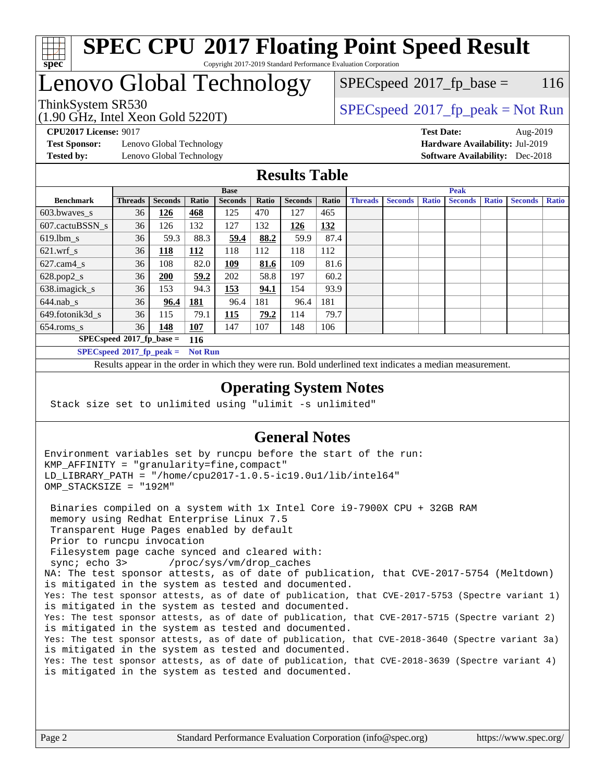

## **[SPEC CPU](http://www.spec.org/auto/cpu2017/Docs/result-fields.html#SPECCPU2017FloatingPointSpeedResult)[2017 Floating Point Speed Result](http://www.spec.org/auto/cpu2017/Docs/result-fields.html#SPECCPU2017FloatingPointSpeedResult)** Copyright 2017-2019 Standard Performance Evaluation Corporation

# Lenovo Global Technology

(1.90 GHz, Intel Xeon Gold 5220T)

ThinkSystem SR530<br>  $\begin{array}{c}\n\text{SPEC speed} \text{?}2017\_fp\_peak = Not Run \\
\text{SPEC speed} \text{?}2017\_fp\_peak = Not Run\n\end{array}$  $SPEC speed^{\circ}2017\_fp\_base = 116$ 

**[Test Sponsor:](http://www.spec.org/auto/cpu2017/Docs/result-fields.html#TestSponsor)** Lenovo Global Technology **[Hardware Availability:](http://www.spec.org/auto/cpu2017/Docs/result-fields.html#HardwareAvailability)** Jul-2019 **[Tested by:](http://www.spec.org/auto/cpu2017/Docs/result-fields.html#Testedby)** Lenovo Global Technology **[Software Availability:](http://www.spec.org/auto/cpu2017/Docs/result-fields.html#SoftwareAvailability)** Dec-2018

**[CPU2017 License:](http://www.spec.org/auto/cpu2017/Docs/result-fields.html#CPU2017License)** 9017 **[Test Date:](http://www.spec.org/auto/cpu2017/Docs/result-fields.html#TestDate)** Aug-2019

## **[Results Table](http://www.spec.org/auto/cpu2017/Docs/result-fields.html#ResultsTable)**

|                                    | <b>Base</b>                 |                |                |                |       |                | <b>Peak</b> |                |                |              |                |              |                |              |
|------------------------------------|-----------------------------|----------------|----------------|----------------|-------|----------------|-------------|----------------|----------------|--------------|----------------|--------------|----------------|--------------|
| <b>Benchmark</b>                   | <b>Threads</b>              | <b>Seconds</b> | Ratio          | <b>Seconds</b> | Ratio | <b>Seconds</b> | Ratio       | <b>Threads</b> | <b>Seconds</b> | <b>Ratio</b> | <b>Seconds</b> | <b>Ratio</b> | <b>Seconds</b> | <b>Ratio</b> |
| 603.bwayes s                       | 36                          | 126            | 468            | 125            | 470   | 127            | 465         |                |                |              |                |              |                |              |
| 607.cactuBSSN s                    | 36                          | 126            | 132            | 127            | 132   | 126            | 132         |                |                |              |                |              |                |              |
| $619.$ lbm_s                       | 36                          | 59.3           | 88.3           | 59.4           | 88.2  | 59.9           | 87.4        |                |                |              |                |              |                |              |
| $621.wrf$ s                        | 36                          | <b>118</b>     | <u>112</u>     | 118            | 112   | 118            | 112         |                |                |              |                |              |                |              |
| $627$ .cam4 s                      | 36                          | 108            | 82.0           | 109            | 81.6  | 109            | 81.6        |                |                |              |                |              |                |              |
| $628.pop2_s$                       | 36                          | 200            | 59.2           | 202            | 58.8  | 197            | 60.2        |                |                |              |                |              |                |              |
| 638.imagick_s                      | 36                          | 153            | 94.3           | 153            | 94.1  | 154            | 93.9        |                |                |              |                |              |                |              |
| $644$ .nab s                       | 36                          | 96.4           | <u>181</u>     | 96.4           | 181   | 96.4           | 181         |                |                |              |                |              |                |              |
| 649.fotonik3d s                    | 36                          | 115            | 79.1           | 115            | 79.2  | 114            | 79.7        |                |                |              |                |              |                |              |
| $654$ .roms s                      | 36                          | 148            | <b>107</b>     | 147            | 107   | 148            | 106         |                |                |              |                |              |                |              |
| $SPECspeed*2017_fp\_base =$<br>116 |                             |                |                |                |       |                |             |                |                |              |                |              |                |              |
|                                    | $SPECspeed*2017_fp\_peak =$ |                | <b>Not Run</b> |                |       |                |             |                |                |              |                |              |                |              |

Results appear in the [order in which they were run.](http://www.spec.org/auto/cpu2017/Docs/result-fields.html#RunOrder) Bold underlined text [indicates a median measurement](http://www.spec.org/auto/cpu2017/Docs/result-fields.html#Median).

## **[Operating System Notes](http://www.spec.org/auto/cpu2017/Docs/result-fields.html#OperatingSystemNotes)**

Stack size set to unlimited using "ulimit -s unlimited"

## **[General Notes](http://www.spec.org/auto/cpu2017/Docs/result-fields.html#GeneralNotes)**

Environment variables set by runcpu before the start of the run: KMP\_AFFINITY = "granularity=fine,compact" LD\_LIBRARY\_PATH = "/home/cpu2017-1.0.5-ic19.0u1/lib/intel64" OMP\_STACKSIZE = "192M"

 Binaries compiled on a system with 1x Intel Core i9-7900X CPU + 32GB RAM memory using Redhat Enterprise Linux 7.5 Transparent Huge Pages enabled by default Prior to runcpu invocation Filesystem page cache synced and cleared with: sync; echo 3> /proc/sys/vm/drop\_caches NA: The test sponsor attests, as of date of publication, that CVE-2017-5754 (Meltdown) is mitigated in the system as tested and documented. Yes: The test sponsor attests, as of date of publication, that CVE-2017-5753 (Spectre variant 1) is mitigated in the system as tested and documented. Yes: The test sponsor attests, as of date of publication, that CVE-2017-5715 (Spectre variant 2) is mitigated in the system as tested and documented. Yes: The test sponsor attests, as of date of publication, that CVE-2018-3640 (Spectre variant 3a) is mitigated in the system as tested and documented. Yes: The test sponsor attests, as of date of publication, that CVE-2018-3639 (Spectre variant 4) is mitigated in the system as tested and documented.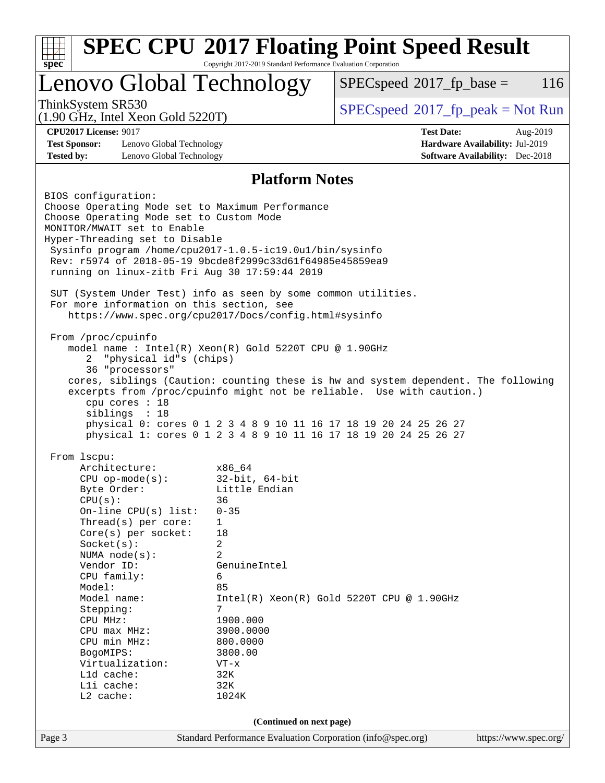| Lenovo Global Technology                                                                   |                       | $SPEC speed^{\circ}2017$ _fp_base =                              |                                        | 116      |  |
|--------------------------------------------------------------------------------------------|-----------------------|------------------------------------------------------------------|----------------------------------------|----------|--|
| ThinkSystem SR530<br>$(1.90 \text{ GHz}, \text{Intel Xeon Gold } 5220 \text{T})$           |                       | $SPEC speed^{\circ}2017\_fp\_peak = Not Run$                     |                                        |          |  |
| <b>CPU2017 License: 9017</b>                                                               |                       | <b>Test Date:</b>                                                |                                        | Aug-2019 |  |
| <b>Test Sponsor:</b><br>Lenovo Global Technology                                           |                       |                                                                  | Hardware Availability: Jul-2019        |          |  |
| <b>Tested by:</b><br>Lenovo Global Technology                                              |                       |                                                                  | <b>Software Availability:</b> Dec-2018 |          |  |
|                                                                                            | <b>Platform Notes</b> |                                                                  |                                        |          |  |
| BIOS configuration:                                                                        |                       |                                                                  |                                        |          |  |
| Choose Operating Mode set to Maximum Performance                                           |                       |                                                                  |                                        |          |  |
| Choose Operating Mode set to Custom Mode                                                   |                       |                                                                  |                                        |          |  |
| MONITOR/MWAIT set to Enable                                                                |                       |                                                                  |                                        |          |  |
| Hyper-Threading set to Disable<br>Sysinfo program /home/cpu2017-1.0.5-ic19.0ul/bin/sysinfo |                       |                                                                  |                                        |          |  |
| Rev: r5974 of 2018-05-19 9bcde8f2999c33d61f64985e45859ea9                                  |                       |                                                                  |                                        |          |  |
| running on linux-zitb Fri Aug 30 17:59:44 2019                                             |                       |                                                                  |                                        |          |  |
| SUT (System Under Test) info as seen by some common utilities.                             |                       |                                                                  |                                        |          |  |
| For more information on this section, see                                                  |                       |                                                                  |                                        |          |  |
| https://www.spec.org/cpu2017/Docs/config.html#sysinfo                                      |                       |                                                                  |                                        |          |  |
|                                                                                            |                       |                                                                  |                                        |          |  |
| From /proc/cpuinfo<br>model name : Intel(R) Xeon(R) Gold 5220T CPU @ 1.90GHz               |                       |                                                                  |                                        |          |  |
| "physical id"s (chips)<br>2                                                                |                       |                                                                  |                                        |          |  |
| 36 "processors"                                                                            |                       |                                                                  |                                        |          |  |
| cores, siblings (Caution: counting these is hw and system dependent. The following         |                       |                                                                  |                                        |          |  |
| excerpts from /proc/cpuinfo might not be reliable. Use with caution.)                      |                       |                                                                  |                                        |          |  |
| cpu cores : 18                                                                             |                       |                                                                  |                                        |          |  |
| siblings : 18                                                                              |                       | physical 0: cores 0 1 2 3 4 8 9 10 11 16 17 18 19 20 24 25 26 27 |                                        |          |  |
|                                                                                            |                       | physical 1: cores 0 1 2 3 4 8 9 10 11 16 17 18 19 20 24 25 26 27 |                                        |          |  |
| From 1scpu:                                                                                |                       |                                                                  |                                        |          |  |
| Architecture:                                                                              | x86_64                |                                                                  |                                        |          |  |
| $CPU$ op-mode( $s$ ):                                                                      | $32$ -bit, $64$ -bit  |                                                                  |                                        |          |  |
| Byte Order:                                                                                | Little Endian         |                                                                  |                                        |          |  |
| CPU(s):                                                                                    | 36                    |                                                                  |                                        |          |  |
| On-line CPU(s) list:                                                                       | $0 - 35$              |                                                                  |                                        |          |  |
| Thread(s) per core:<br>Core(s) per socket:                                                 | 1<br>18               |                                                                  |                                        |          |  |
| Socket(s):                                                                                 | 2                     |                                                                  |                                        |          |  |
| NUMA node(s):                                                                              | 2                     |                                                                  |                                        |          |  |
| Vendor ID:                                                                                 | GenuineIntel          |                                                                  |                                        |          |  |
| CPU family:                                                                                | 6                     |                                                                  |                                        |          |  |
| Model:                                                                                     | 85                    |                                                                  |                                        |          |  |
| Model name:                                                                                | 7                     | $Intel(R) Xeon(R) Gold 5220T CPU @ 1.90GHz$                      |                                        |          |  |
| Stepping:<br>CPU MHz:                                                                      | 1900.000              |                                                                  |                                        |          |  |
| CPU max MHz:                                                                               | 3900.0000             |                                                                  |                                        |          |  |
| CPU min MHz:                                                                               | 800.0000              |                                                                  |                                        |          |  |
| BogoMIPS:                                                                                  | 3800.00               |                                                                  |                                        |          |  |
| Virtualization:                                                                            | $VT - x$              |                                                                  |                                        |          |  |
|                                                                                            | L1d cache:<br>32K     |                                                                  |                                        |          |  |
|                                                                                            |                       |                                                                  |                                        |          |  |
| Lli cache:                                                                                 | 32K                   |                                                                  |                                        |          |  |
| L2 cache:                                                                                  | 1024K                 |                                                                  |                                        |          |  |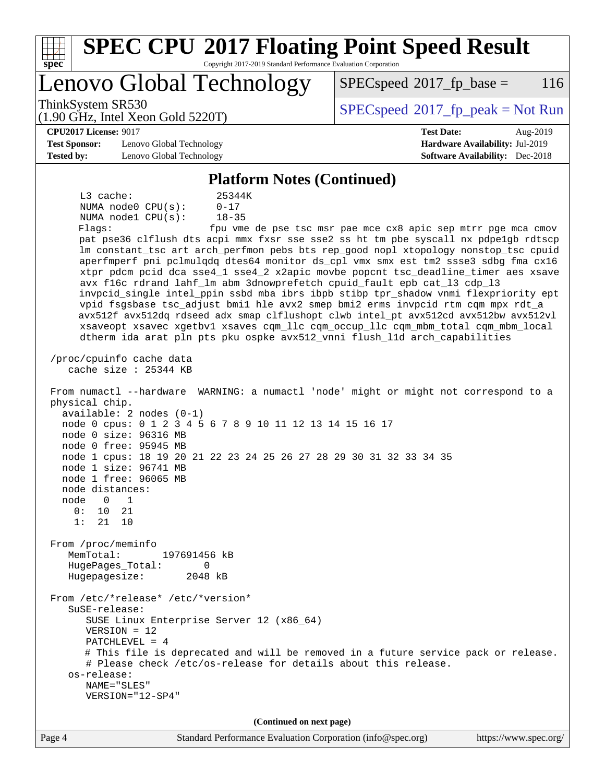| <b>SPEC CPU®2017 Floating Point Speed Result</b><br>Copyright 2017-2019 Standard Performance Evaluation Corporation<br>spec                                                                                                                                                                                                                                                                                                                                                                                                                                                                                                                                                                                                                                                                                                                                                                                                                                                                                                                                                                                                                                                                                                                                                                                                                                                                                                                                                           |                                                                           |
|---------------------------------------------------------------------------------------------------------------------------------------------------------------------------------------------------------------------------------------------------------------------------------------------------------------------------------------------------------------------------------------------------------------------------------------------------------------------------------------------------------------------------------------------------------------------------------------------------------------------------------------------------------------------------------------------------------------------------------------------------------------------------------------------------------------------------------------------------------------------------------------------------------------------------------------------------------------------------------------------------------------------------------------------------------------------------------------------------------------------------------------------------------------------------------------------------------------------------------------------------------------------------------------------------------------------------------------------------------------------------------------------------------------------------------------------------------------------------------------|---------------------------------------------------------------------------|
| Lenovo Global Technology                                                                                                                                                                                                                                                                                                                                                                                                                                                                                                                                                                                                                                                                                                                                                                                                                                                                                                                                                                                                                                                                                                                                                                                                                                                                                                                                                                                                                                                              | 116<br>$SPEC speed^{\circ}2017$ fp base =                                 |
| ThinkSystem SR530<br>$(1.90 \text{ GHz}, \text{Intel Xeon Gold } 5220 \text{T})$                                                                                                                                                                                                                                                                                                                                                                                                                                                                                                                                                                                                                                                                                                                                                                                                                                                                                                                                                                                                                                                                                                                                                                                                                                                                                                                                                                                                      | $SPEC speed$ <sup>®</sup> 2017_fp_peak = Not Run                          |
| <b>CPU2017 License: 9017</b>                                                                                                                                                                                                                                                                                                                                                                                                                                                                                                                                                                                                                                                                                                                                                                                                                                                                                                                                                                                                                                                                                                                                                                                                                                                                                                                                                                                                                                                          | <b>Test Date:</b><br>Aug-2019                                             |
| <b>Test Sponsor:</b><br>Lenovo Global Technology<br>Tested by:<br>Lenovo Global Technology                                                                                                                                                                                                                                                                                                                                                                                                                                                                                                                                                                                                                                                                                                                                                                                                                                                                                                                                                                                                                                                                                                                                                                                                                                                                                                                                                                                            | Hardware Availability: Jul-2019<br><b>Software Availability:</b> Dec-2018 |
|                                                                                                                                                                                                                                                                                                                                                                                                                                                                                                                                                                                                                                                                                                                                                                                                                                                                                                                                                                                                                                                                                                                                                                                                                                                                                                                                                                                                                                                                                       |                                                                           |
| <b>Platform Notes (Continued)</b>                                                                                                                                                                                                                                                                                                                                                                                                                                                                                                                                                                                                                                                                                                                                                                                                                                                                                                                                                                                                                                                                                                                                                                                                                                                                                                                                                                                                                                                     |                                                                           |
| L3 cache:<br>25344K<br>NUMA node0 CPU(s):<br>$0 - 17$<br>NUMA nodel CPU(s):<br>$18 - 35$<br>Flagg:<br>pat pse36 clflush dts acpi mmx fxsr sse sse2 ss ht tm pbe syscall nx pdpelgb rdtscp<br>lm constant_tsc art arch_perfmon pebs bts rep_good nopl xtopology nonstop_tsc cpuid<br>aperfmperf pni pclmulgdg dtes64 monitor ds_cpl vmx smx est tm2 ssse3 sdbg fma cx16<br>xtpr pdcm pcid dca sse4_1 sse4_2 x2apic movbe popcnt tsc_deadline_timer aes xsave<br>avx f16c rdrand lahf_lm abm 3dnowprefetch cpuid_fault epb cat_13 cdp_13<br>invpcid_single intel_ppin ssbd mba ibrs ibpb stibp tpr_shadow vnmi flexpriority ept<br>vpid fsgsbase tsc_adjust bmil hle avx2 smep bmi2 erms invpcid rtm cqm mpx rdt_a<br>avx512f avx512dq rdseed adx smap clflushopt clwb intel_pt avx512cd avx512bw avx512vl<br>xsaveopt xsavec xgetbvl xsaves cqm_llc cqm_occup_llc cqm_mbm_total cqm_mbm_local<br>dtherm ida arat pln pts pku ospke avx512_vnni flush_lld arch_capabilities<br>/proc/cpuinfo cache data<br>cache size : 25344 KB<br>From numactl --hardware WARNING: a numactl 'node' might or might not correspond to a<br>physical chip.<br>$available: 2 nodes (0-1)$<br>node 0 cpus: 0 1 2 3 4 5 6 7 8 9 10 11 12 13 14 15 16 17<br>node 0 size: 96316 MB<br>node 0 free: 95945 MB<br>node 1 cpus: 18 19 20 21 22 23 24 25 26 27 28 29 30 31 32 33 34 35<br>node 1 size: 96741 MB<br>node 1 free: 96065 MB<br>node distances:<br>node<br>0<br>1<br>0:<br>10<br>21<br>1:<br>21<br>10 | fpu vme de pse tsc msr pae mce cx8 apic sep mtrr pge mca cmov             |
| From /proc/meminfo<br>MemTotal:<br>197691456 kB<br>HugePages_Total:<br>0                                                                                                                                                                                                                                                                                                                                                                                                                                                                                                                                                                                                                                                                                                                                                                                                                                                                                                                                                                                                                                                                                                                                                                                                                                                                                                                                                                                                              |                                                                           |
| Hugepagesize:<br>2048 kB<br>From /etc/*release* /etc/*version*<br>SuSE-release:<br>SUSE Linux Enterprise Server 12 (x86_64)<br>$VERSION = 12$<br>PATCHLEVEL = $4$<br># This file is deprecated and will be removed in a future service pack or release.<br># Please check /etc/os-release for details about this release.<br>os-release:<br>NAME="SLES"<br>VERSION="12-SP4"                                                                                                                                                                                                                                                                                                                                                                                                                                                                                                                                                                                                                                                                                                                                                                                                                                                                                                                                                                                                                                                                                                           |                                                                           |
| (Continued on next page)                                                                                                                                                                                                                                                                                                                                                                                                                                                                                                                                                                                                                                                                                                                                                                                                                                                                                                                                                                                                                                                                                                                                                                                                                                                                                                                                                                                                                                                              |                                                                           |
| Page 4<br>Standard Performance Evaluation Corporation (info@spec.org)                                                                                                                                                                                                                                                                                                                                                                                                                                                                                                                                                                                                                                                                                                                                                                                                                                                                                                                                                                                                                                                                                                                                                                                                                                                                                                                                                                                                                 | https://www.spec.org/                                                     |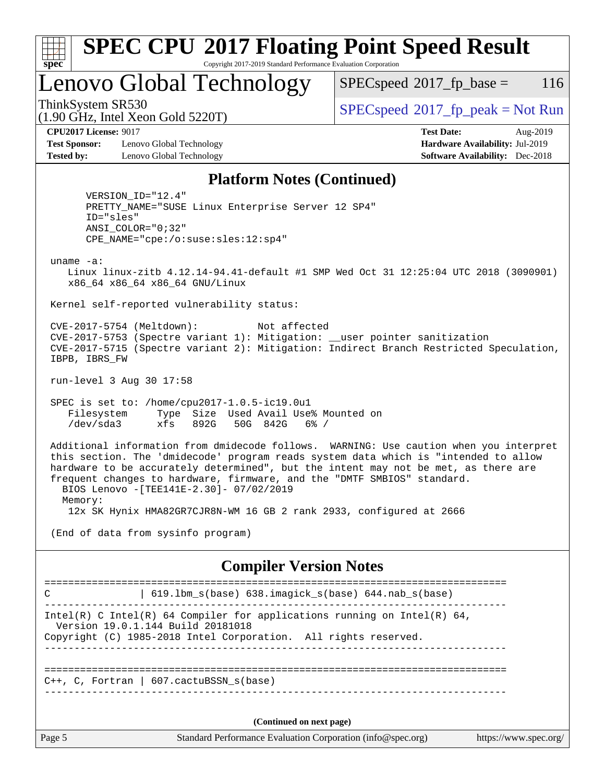| ą,<br>e<br>Ш<br>U |  |  |  |  |  |
|-------------------|--|--|--|--|--|

## **[SPEC CPU](http://www.spec.org/auto/cpu2017/Docs/result-fields.html#SPECCPU2017FloatingPointSpeedResult)[2017 Floating Point Speed Result](http://www.spec.org/auto/cpu2017/Docs/result-fields.html#SPECCPU2017FloatingPointSpeedResult)** Copyright 2017-2019 Standard Performance Evaluation Corporation

Lenovo Global Technology

 $SPECspeed^{\circledcirc}2017_fp\_base = 116$  $SPECspeed^{\circledcirc}2017_fp\_base = 116$ 

(1.90 GHz, Intel Xeon Gold 5220T)

ThinkSystem SR530<br>  $\begin{array}{c}\n\text{SPEC speed} \text{°2017\_fp\_peak} = \text{Not Run} \\
\text{SPEC speed} \text{°2017\_fp\_peak} = \text{Not Run} \\
\end{array}$ 

**[CPU2017 License:](http://www.spec.org/auto/cpu2017/Docs/result-fields.html#CPU2017License)** 9017 **[Test Date:](http://www.spec.org/auto/cpu2017/Docs/result-fields.html#TestDate)** Aug-2019

**[Test Sponsor:](http://www.spec.org/auto/cpu2017/Docs/result-fields.html#TestSponsor)** Lenovo Global Technology **[Hardware Availability:](http://www.spec.org/auto/cpu2017/Docs/result-fields.html#HardwareAvailability)** Jul-2019 **[Tested by:](http://www.spec.org/auto/cpu2017/Docs/result-fields.html#Testedby)** Lenovo Global Technology **[Software Availability:](http://www.spec.org/auto/cpu2017/Docs/result-fields.html#SoftwareAvailability)** Dec-2018

# **[Platform Notes \(Continued\)](http://www.spec.org/auto/cpu2017/Docs/result-fields.html#PlatformNotes)**

 VERSION\_ID="12.4" PRETTY\_NAME="SUSE Linux Enterprise Server 12 SP4" ID="sles" ANSI\_COLOR="0;32" CPE\_NAME="cpe:/o:suse:sles:12:sp4"

uname -a:

 Linux linux-zitb 4.12.14-94.41-default #1 SMP Wed Oct 31 12:25:04 UTC 2018 (3090901) x86\_64 x86\_64 x86\_64 GNU/Linux

Kernel self-reported vulnerability status:

 CVE-2017-5754 (Meltdown): Not affected CVE-2017-5753 (Spectre variant 1): Mitigation: \_\_user pointer sanitization CVE-2017-5715 (Spectre variant 2): Mitigation: Indirect Branch Restricted Speculation, IBPB, IBRS\_FW

run-level 3 Aug 30 17:58

 SPEC is set to: /home/cpu2017-1.0.5-ic19.0u1 Filesystem Type Size Used Avail Use% Mounted on /dev/sda3 xfs 892G 50G 842G 6% /

 Additional information from dmidecode follows. WARNING: Use caution when you interpret this section. The 'dmidecode' program reads system data which is "intended to allow hardware to be accurately determined", but the intent may not be met, as there are frequent changes to hardware, firmware, and the "DMTF SMBIOS" standard. BIOS Lenovo -[TEE141E-2.30]- 07/02/2019 Memory:

12x SK Hynix HMA82GR7CJR8N-WM 16 GB 2 rank 2933, configured at 2666

(End of data from sysinfo program)

**[Compiler Version Notes](http://www.spec.org/auto/cpu2017/Docs/result-fields.html#CompilerVersionNotes)**

Page 5 Standard Performance Evaluation Corporation [\(info@spec.org\)](mailto:info@spec.org) <https://www.spec.org/> ============================================================================== C | 619.lbm\_s(base) 638.imagick\_s(base) 644.nab\_s(base) ------------------------------------------------------------------------------ Intel(R) C Intel(R) 64 Compiler for applications running on Intel(R)  $64$ , Version 19.0.1.144 Build 20181018 Copyright (C) 1985-2018 Intel Corporation. All rights reserved. ------------------------------------------------------------------------------ ============================================================================== C++, C, Fortran | 607.cactuBSSN\_s(base) ------------------------------------------------------------------------------ **(Continued on next page)**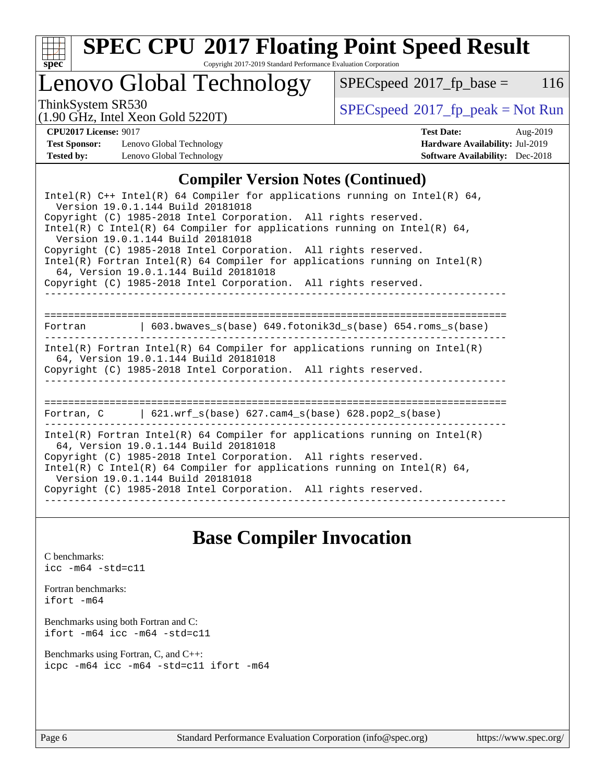

# **[SPEC CPU](http://www.spec.org/auto/cpu2017/Docs/result-fields.html#SPECCPU2017FloatingPointSpeedResult)[2017 Floating Point Speed Result](http://www.spec.org/auto/cpu2017/Docs/result-fields.html#SPECCPU2017FloatingPointSpeedResult)**

Copyright 2017-2019 Standard Performance Evaluation Corporation

# Lenovo Global Technology

 $SPECspeed^{\circ}2017_fp\_base = 116$  $SPECspeed^{\circ}2017_fp\_base = 116$ 

(1.90 GHz, Intel Xeon Gold 5220T)

ThinkSystem SR530<br>(1.00 GHz, Intel Year Gold 5220T) [SPECspeed](http://www.spec.org/auto/cpu2017/Docs/result-fields.html#SPECspeed2017fppeak)<sup>®</sup>[2017\\_fp\\_peak = N](http://www.spec.org/auto/cpu2017/Docs/result-fields.html#SPECspeed2017fppeak)ot Run

**[Test Sponsor:](http://www.spec.org/auto/cpu2017/Docs/result-fields.html#TestSponsor)** Lenovo Global Technology **[Hardware Availability:](http://www.spec.org/auto/cpu2017/Docs/result-fields.html#HardwareAvailability)** Jul-2019 **[Tested by:](http://www.spec.org/auto/cpu2017/Docs/result-fields.html#Testedby)** Lenovo Global Technology **[Software Availability:](http://www.spec.org/auto/cpu2017/Docs/result-fields.html#SoftwareAvailability)** Dec-2018

**[CPU2017 License:](http://www.spec.org/auto/cpu2017/Docs/result-fields.html#CPU2017License)** 9017 **[Test Date:](http://www.spec.org/auto/cpu2017/Docs/result-fields.html#TestDate)** Aug-2019

## **[Compiler Version Notes \(Continued\)](http://www.spec.org/auto/cpu2017/Docs/result-fields.html#CompilerVersionNotes)**

| Intel(R) $C++$ Intel(R) 64 Compiler for applications running on Intel(R) 64,<br>Version 19.0.1.144 Build 20181018                                                                                                                                                                                                                                                            |  |  |  |  |  |
|------------------------------------------------------------------------------------------------------------------------------------------------------------------------------------------------------------------------------------------------------------------------------------------------------------------------------------------------------------------------------|--|--|--|--|--|
| Copyright (C) 1985-2018 Intel Corporation. All rights reserved.<br>Intel(R) C Intel(R) 64 Compiler for applications running on Intel(R) 64,<br>Version 19.0.1.144 Build 20181018                                                                                                                                                                                             |  |  |  |  |  |
| Copyright (C) 1985-2018 Intel Corporation. All rights reserved.<br>$Intel(R)$ Fortran Intel(R) 64 Compiler for applications running on Intel(R)<br>64, Version 19.0.1.144 Build 20181018                                                                                                                                                                                     |  |  |  |  |  |
| Copyright (C) 1985-2018 Intel Corporation. All rights reserved.                                                                                                                                                                                                                                                                                                              |  |  |  |  |  |
| Fortran (603.bwaves s(base) 649.fotonik3d s(base) 654.roms s(base)                                                                                                                                                                                                                                                                                                           |  |  |  |  |  |
| $Intel(R)$ Fortran Intel(R) 64 Compiler for applications running on Intel(R)<br>64, Version 19.0.1.144 Build 20181018<br>Copyright (C) 1985-2018 Intel Corporation. All rights reserved.                                                                                                                                                                                     |  |  |  |  |  |
| Fortran, $C = \begin{bmatrix} 621.wrf\_s(base) & 627.cam4_s(base) & 628.pop2_s(base) \end{bmatrix}$                                                                                                                                                                                                                                                                          |  |  |  |  |  |
| $Intel(R)$ Fortran Intel(R) 64 Compiler for applications running on Intel(R)<br>64, Version 19.0.1.144 Build 20181018<br>Copyright (C) 1985-2018 Intel Corporation. All rights reserved.<br>Intel(R) C Intel(R) 64 Compiler for applications running on Intel(R) 64,<br>Version 19.0.1.144 Build 20181018<br>Copyright (C) 1985-2018 Intel Corporation. All rights reserved. |  |  |  |  |  |

## **[Base Compiler Invocation](http://www.spec.org/auto/cpu2017/Docs/result-fields.html#BaseCompilerInvocation)**

[C benchmarks](http://www.spec.org/auto/cpu2017/Docs/result-fields.html#Cbenchmarks): [icc -m64 -std=c11](http://www.spec.org/cpu2017/results/res2019q3/cpu2017-20190902-17571.flags.html#user_CCbase_intel_icc_64bit_c11_33ee0cdaae7deeeab2a9725423ba97205ce30f63b9926c2519791662299b76a0318f32ddfffdc46587804de3178b4f9328c46fa7c2b0cd779d7a61945c91cd35)

[Fortran benchmarks](http://www.spec.org/auto/cpu2017/Docs/result-fields.html#Fortranbenchmarks): [ifort -m64](http://www.spec.org/cpu2017/results/res2019q3/cpu2017-20190902-17571.flags.html#user_FCbase_intel_ifort_64bit_24f2bb282fbaeffd6157abe4f878425411749daecae9a33200eee2bee2fe76f3b89351d69a8130dd5949958ce389cf37ff59a95e7a40d588e8d3a57e0c3fd751)

[Benchmarks using both Fortran and C](http://www.spec.org/auto/cpu2017/Docs/result-fields.html#BenchmarksusingbothFortranandC): [ifort -m64](http://www.spec.org/cpu2017/results/res2019q3/cpu2017-20190902-17571.flags.html#user_CC_FCbase_intel_ifort_64bit_24f2bb282fbaeffd6157abe4f878425411749daecae9a33200eee2bee2fe76f3b89351d69a8130dd5949958ce389cf37ff59a95e7a40d588e8d3a57e0c3fd751) [icc -m64 -std=c11](http://www.spec.org/cpu2017/results/res2019q3/cpu2017-20190902-17571.flags.html#user_CC_FCbase_intel_icc_64bit_c11_33ee0cdaae7deeeab2a9725423ba97205ce30f63b9926c2519791662299b76a0318f32ddfffdc46587804de3178b4f9328c46fa7c2b0cd779d7a61945c91cd35)

[Benchmarks using Fortran, C, and C++:](http://www.spec.org/auto/cpu2017/Docs/result-fields.html#BenchmarksusingFortranCandCXX) [icpc -m64](http://www.spec.org/cpu2017/results/res2019q3/cpu2017-20190902-17571.flags.html#user_CC_CXX_FCbase_intel_icpc_64bit_4ecb2543ae3f1412ef961e0650ca070fec7b7afdcd6ed48761b84423119d1bf6bdf5cad15b44d48e7256388bc77273b966e5eb805aefd121eb22e9299b2ec9d9) [icc -m64 -std=c11](http://www.spec.org/cpu2017/results/res2019q3/cpu2017-20190902-17571.flags.html#user_CC_CXX_FCbase_intel_icc_64bit_c11_33ee0cdaae7deeeab2a9725423ba97205ce30f63b9926c2519791662299b76a0318f32ddfffdc46587804de3178b4f9328c46fa7c2b0cd779d7a61945c91cd35) [ifort -m64](http://www.spec.org/cpu2017/results/res2019q3/cpu2017-20190902-17571.flags.html#user_CC_CXX_FCbase_intel_ifort_64bit_24f2bb282fbaeffd6157abe4f878425411749daecae9a33200eee2bee2fe76f3b89351d69a8130dd5949958ce389cf37ff59a95e7a40d588e8d3a57e0c3fd751)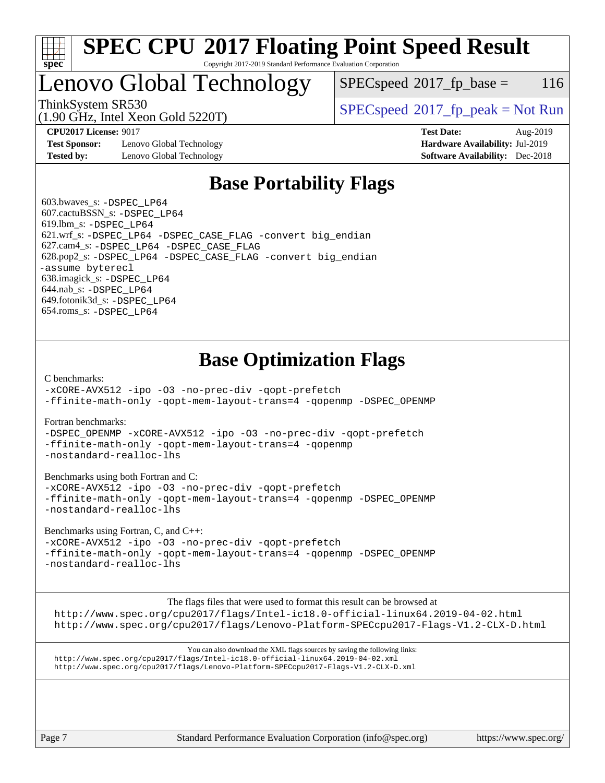

## **[SPEC CPU](http://www.spec.org/auto/cpu2017/Docs/result-fields.html#SPECCPU2017FloatingPointSpeedResult)[2017 Floating Point Speed Result](http://www.spec.org/auto/cpu2017/Docs/result-fields.html#SPECCPU2017FloatingPointSpeedResult)** Copyright 2017-2019 Standard Performance Evaluation Corporation

Lenovo Global Technology

 $SPEC speed^{\circ}2017$  fp base = 116

(1.90 GHz, Intel Xeon Gold 5220T)

ThinkSystem SR530<br>  $\begin{array}{c}\n\text{SPEC speed} \text{°2017\_fp\_peak} = \text{Not Run} \\
\text{SPEC speed} \text{°2017\_fp\_peak} = \text{Not Run} \\
\end{array}$ 

**[Test Sponsor:](http://www.spec.org/auto/cpu2017/Docs/result-fields.html#TestSponsor)** Lenovo Global Technology **[Hardware Availability:](http://www.spec.org/auto/cpu2017/Docs/result-fields.html#HardwareAvailability)** Jul-2019 **[Tested by:](http://www.spec.org/auto/cpu2017/Docs/result-fields.html#Testedby)** Lenovo Global Technology **[Software Availability:](http://www.spec.org/auto/cpu2017/Docs/result-fields.html#SoftwareAvailability)** Dec-2018

**[CPU2017 License:](http://www.spec.org/auto/cpu2017/Docs/result-fields.html#CPU2017License)** 9017 **[Test Date:](http://www.spec.org/auto/cpu2017/Docs/result-fields.html#TestDate)** Aug-2019

# **[Base Portability Flags](http://www.spec.org/auto/cpu2017/Docs/result-fields.html#BasePortabilityFlags)**

 603.bwaves\_s: [-DSPEC\\_LP64](http://www.spec.org/cpu2017/results/res2019q3/cpu2017-20190902-17571.flags.html#suite_basePORTABILITY603_bwaves_s_DSPEC_LP64) 607.cactuBSSN\_s: [-DSPEC\\_LP64](http://www.spec.org/cpu2017/results/res2019q3/cpu2017-20190902-17571.flags.html#suite_basePORTABILITY607_cactuBSSN_s_DSPEC_LP64) 619.lbm\_s: [-DSPEC\\_LP64](http://www.spec.org/cpu2017/results/res2019q3/cpu2017-20190902-17571.flags.html#suite_basePORTABILITY619_lbm_s_DSPEC_LP64) 621.wrf\_s: [-DSPEC\\_LP64](http://www.spec.org/cpu2017/results/res2019q3/cpu2017-20190902-17571.flags.html#suite_basePORTABILITY621_wrf_s_DSPEC_LP64) [-DSPEC\\_CASE\\_FLAG](http://www.spec.org/cpu2017/results/res2019q3/cpu2017-20190902-17571.flags.html#b621.wrf_s_baseCPORTABILITY_DSPEC_CASE_FLAG) [-convert big\\_endian](http://www.spec.org/cpu2017/results/res2019q3/cpu2017-20190902-17571.flags.html#user_baseFPORTABILITY621_wrf_s_convert_big_endian_c3194028bc08c63ac5d04de18c48ce6d347e4e562e8892b8bdbdc0214820426deb8554edfa529a3fb25a586e65a3d812c835984020483e7e73212c4d31a38223) 627.cam4\_s: [-DSPEC\\_LP64](http://www.spec.org/cpu2017/results/res2019q3/cpu2017-20190902-17571.flags.html#suite_basePORTABILITY627_cam4_s_DSPEC_LP64) [-DSPEC\\_CASE\\_FLAG](http://www.spec.org/cpu2017/results/res2019q3/cpu2017-20190902-17571.flags.html#b627.cam4_s_baseCPORTABILITY_DSPEC_CASE_FLAG) 628.pop2\_s: [-DSPEC\\_LP64](http://www.spec.org/cpu2017/results/res2019q3/cpu2017-20190902-17571.flags.html#suite_basePORTABILITY628_pop2_s_DSPEC_LP64) [-DSPEC\\_CASE\\_FLAG](http://www.spec.org/cpu2017/results/res2019q3/cpu2017-20190902-17571.flags.html#b628.pop2_s_baseCPORTABILITY_DSPEC_CASE_FLAG) [-convert big\\_endian](http://www.spec.org/cpu2017/results/res2019q3/cpu2017-20190902-17571.flags.html#user_baseFPORTABILITY628_pop2_s_convert_big_endian_c3194028bc08c63ac5d04de18c48ce6d347e4e562e8892b8bdbdc0214820426deb8554edfa529a3fb25a586e65a3d812c835984020483e7e73212c4d31a38223) [-assume byterecl](http://www.spec.org/cpu2017/results/res2019q3/cpu2017-20190902-17571.flags.html#user_baseFPORTABILITY628_pop2_s_assume_byterecl_7e47d18b9513cf18525430bbf0f2177aa9bf368bc7a059c09b2c06a34b53bd3447c950d3f8d6c70e3faf3a05c8557d66a5798b567902e8849adc142926523472) 638.imagick\_s: [-DSPEC\\_LP64](http://www.spec.org/cpu2017/results/res2019q3/cpu2017-20190902-17571.flags.html#suite_basePORTABILITY638_imagick_s_DSPEC_LP64) 644.nab\_s: [-DSPEC\\_LP64](http://www.spec.org/cpu2017/results/res2019q3/cpu2017-20190902-17571.flags.html#suite_basePORTABILITY644_nab_s_DSPEC_LP64) 649.fotonik3d\_s: [-DSPEC\\_LP64](http://www.spec.org/cpu2017/results/res2019q3/cpu2017-20190902-17571.flags.html#suite_basePORTABILITY649_fotonik3d_s_DSPEC_LP64) 654.roms\_s: [-DSPEC\\_LP64](http://www.spec.org/cpu2017/results/res2019q3/cpu2017-20190902-17571.flags.html#suite_basePORTABILITY654_roms_s_DSPEC_LP64)

# **[Base Optimization Flags](http://www.spec.org/auto/cpu2017/Docs/result-fields.html#BaseOptimizationFlags)**

[C benchmarks](http://www.spec.org/auto/cpu2017/Docs/result-fields.html#Cbenchmarks):

[-xCORE-AVX512](http://www.spec.org/cpu2017/results/res2019q3/cpu2017-20190902-17571.flags.html#user_CCbase_f-xCORE-AVX512) [-ipo](http://www.spec.org/cpu2017/results/res2019q3/cpu2017-20190902-17571.flags.html#user_CCbase_f-ipo) [-O3](http://www.spec.org/cpu2017/results/res2019q3/cpu2017-20190902-17571.flags.html#user_CCbase_f-O3) [-no-prec-div](http://www.spec.org/cpu2017/results/res2019q3/cpu2017-20190902-17571.flags.html#user_CCbase_f-no-prec-div) [-qopt-prefetch](http://www.spec.org/cpu2017/results/res2019q3/cpu2017-20190902-17571.flags.html#user_CCbase_f-qopt-prefetch) [-ffinite-math-only](http://www.spec.org/cpu2017/results/res2019q3/cpu2017-20190902-17571.flags.html#user_CCbase_f_finite_math_only_cb91587bd2077682c4b38af759c288ed7c732db004271a9512da14a4f8007909a5f1427ecbf1a0fb78ff2a814402c6114ac565ca162485bbcae155b5e4258871) [-qopt-mem-layout-trans=4](http://www.spec.org/cpu2017/results/res2019q3/cpu2017-20190902-17571.flags.html#user_CCbase_f-qopt-mem-layout-trans_fa39e755916c150a61361b7846f310bcdf6f04e385ef281cadf3647acec3f0ae266d1a1d22d972a7087a248fd4e6ca390a3634700869573d231a252c784941a8) [-qopenmp](http://www.spec.org/cpu2017/results/res2019q3/cpu2017-20190902-17571.flags.html#user_CCbase_qopenmp_16be0c44f24f464004c6784a7acb94aca937f053568ce72f94b139a11c7c168634a55f6653758ddd83bcf7b8463e8028bb0b48b77bcddc6b78d5d95bb1df2967) [-DSPEC\\_OPENMP](http://www.spec.org/cpu2017/results/res2019q3/cpu2017-20190902-17571.flags.html#suite_CCbase_DSPEC_OPENMP)

[Fortran benchmarks](http://www.spec.org/auto/cpu2017/Docs/result-fields.html#Fortranbenchmarks):

[-DSPEC\\_OPENMP](http://www.spec.org/cpu2017/results/res2019q3/cpu2017-20190902-17571.flags.html#suite_FCbase_DSPEC_OPENMP) [-xCORE-AVX512](http://www.spec.org/cpu2017/results/res2019q3/cpu2017-20190902-17571.flags.html#user_FCbase_f-xCORE-AVX512) [-ipo](http://www.spec.org/cpu2017/results/res2019q3/cpu2017-20190902-17571.flags.html#user_FCbase_f-ipo) [-O3](http://www.spec.org/cpu2017/results/res2019q3/cpu2017-20190902-17571.flags.html#user_FCbase_f-O3) [-no-prec-div](http://www.spec.org/cpu2017/results/res2019q3/cpu2017-20190902-17571.flags.html#user_FCbase_f-no-prec-div) [-qopt-prefetch](http://www.spec.org/cpu2017/results/res2019q3/cpu2017-20190902-17571.flags.html#user_FCbase_f-qopt-prefetch) [-ffinite-math-only](http://www.spec.org/cpu2017/results/res2019q3/cpu2017-20190902-17571.flags.html#user_FCbase_f_finite_math_only_cb91587bd2077682c4b38af759c288ed7c732db004271a9512da14a4f8007909a5f1427ecbf1a0fb78ff2a814402c6114ac565ca162485bbcae155b5e4258871) [-qopt-mem-layout-trans=4](http://www.spec.org/cpu2017/results/res2019q3/cpu2017-20190902-17571.flags.html#user_FCbase_f-qopt-mem-layout-trans_fa39e755916c150a61361b7846f310bcdf6f04e385ef281cadf3647acec3f0ae266d1a1d22d972a7087a248fd4e6ca390a3634700869573d231a252c784941a8) [-qopenmp](http://www.spec.org/cpu2017/results/res2019q3/cpu2017-20190902-17571.flags.html#user_FCbase_qopenmp_16be0c44f24f464004c6784a7acb94aca937f053568ce72f94b139a11c7c168634a55f6653758ddd83bcf7b8463e8028bb0b48b77bcddc6b78d5d95bb1df2967) [-nostandard-realloc-lhs](http://www.spec.org/cpu2017/results/res2019q3/cpu2017-20190902-17571.flags.html#user_FCbase_f_2003_std_realloc_82b4557e90729c0f113870c07e44d33d6f5a304b4f63d4c15d2d0f1fab99f5daaed73bdb9275d9ae411527f28b936061aa8b9c8f2d63842963b95c9dd6426b8a)

[Benchmarks using both Fortran and C](http://www.spec.org/auto/cpu2017/Docs/result-fields.html#BenchmarksusingbothFortranandC):

[-xCORE-AVX512](http://www.spec.org/cpu2017/results/res2019q3/cpu2017-20190902-17571.flags.html#user_CC_FCbase_f-xCORE-AVX512) [-ipo](http://www.spec.org/cpu2017/results/res2019q3/cpu2017-20190902-17571.flags.html#user_CC_FCbase_f-ipo) [-O3](http://www.spec.org/cpu2017/results/res2019q3/cpu2017-20190902-17571.flags.html#user_CC_FCbase_f-O3) [-no-prec-div](http://www.spec.org/cpu2017/results/res2019q3/cpu2017-20190902-17571.flags.html#user_CC_FCbase_f-no-prec-div) [-qopt-prefetch](http://www.spec.org/cpu2017/results/res2019q3/cpu2017-20190902-17571.flags.html#user_CC_FCbase_f-qopt-prefetch) [-ffinite-math-only](http://www.spec.org/cpu2017/results/res2019q3/cpu2017-20190902-17571.flags.html#user_CC_FCbase_f_finite_math_only_cb91587bd2077682c4b38af759c288ed7c732db004271a9512da14a4f8007909a5f1427ecbf1a0fb78ff2a814402c6114ac565ca162485bbcae155b5e4258871) [-qopt-mem-layout-trans=4](http://www.spec.org/cpu2017/results/res2019q3/cpu2017-20190902-17571.flags.html#user_CC_FCbase_f-qopt-mem-layout-trans_fa39e755916c150a61361b7846f310bcdf6f04e385ef281cadf3647acec3f0ae266d1a1d22d972a7087a248fd4e6ca390a3634700869573d231a252c784941a8) [-qopenmp](http://www.spec.org/cpu2017/results/res2019q3/cpu2017-20190902-17571.flags.html#user_CC_FCbase_qopenmp_16be0c44f24f464004c6784a7acb94aca937f053568ce72f94b139a11c7c168634a55f6653758ddd83bcf7b8463e8028bb0b48b77bcddc6b78d5d95bb1df2967) [-DSPEC\\_OPENMP](http://www.spec.org/cpu2017/results/res2019q3/cpu2017-20190902-17571.flags.html#suite_CC_FCbase_DSPEC_OPENMP) [-nostandard-realloc-lhs](http://www.spec.org/cpu2017/results/res2019q3/cpu2017-20190902-17571.flags.html#user_CC_FCbase_f_2003_std_realloc_82b4557e90729c0f113870c07e44d33d6f5a304b4f63d4c15d2d0f1fab99f5daaed73bdb9275d9ae411527f28b936061aa8b9c8f2d63842963b95c9dd6426b8a)

[Benchmarks using Fortran, C, and C++:](http://www.spec.org/auto/cpu2017/Docs/result-fields.html#BenchmarksusingFortranCandCXX)

[-xCORE-AVX512](http://www.spec.org/cpu2017/results/res2019q3/cpu2017-20190902-17571.flags.html#user_CC_CXX_FCbase_f-xCORE-AVX512) [-ipo](http://www.spec.org/cpu2017/results/res2019q3/cpu2017-20190902-17571.flags.html#user_CC_CXX_FCbase_f-ipo) [-O3](http://www.spec.org/cpu2017/results/res2019q3/cpu2017-20190902-17571.flags.html#user_CC_CXX_FCbase_f-O3) [-no-prec-div](http://www.spec.org/cpu2017/results/res2019q3/cpu2017-20190902-17571.flags.html#user_CC_CXX_FCbase_f-no-prec-div) [-qopt-prefetch](http://www.spec.org/cpu2017/results/res2019q3/cpu2017-20190902-17571.flags.html#user_CC_CXX_FCbase_f-qopt-prefetch) [-ffinite-math-only](http://www.spec.org/cpu2017/results/res2019q3/cpu2017-20190902-17571.flags.html#user_CC_CXX_FCbase_f_finite_math_only_cb91587bd2077682c4b38af759c288ed7c732db004271a9512da14a4f8007909a5f1427ecbf1a0fb78ff2a814402c6114ac565ca162485bbcae155b5e4258871) [-qopt-mem-layout-trans=4](http://www.spec.org/cpu2017/results/res2019q3/cpu2017-20190902-17571.flags.html#user_CC_CXX_FCbase_f-qopt-mem-layout-trans_fa39e755916c150a61361b7846f310bcdf6f04e385ef281cadf3647acec3f0ae266d1a1d22d972a7087a248fd4e6ca390a3634700869573d231a252c784941a8) [-qopenmp](http://www.spec.org/cpu2017/results/res2019q3/cpu2017-20190902-17571.flags.html#user_CC_CXX_FCbase_qopenmp_16be0c44f24f464004c6784a7acb94aca937f053568ce72f94b139a11c7c168634a55f6653758ddd83bcf7b8463e8028bb0b48b77bcddc6b78d5d95bb1df2967) [-DSPEC\\_OPENMP](http://www.spec.org/cpu2017/results/res2019q3/cpu2017-20190902-17571.flags.html#suite_CC_CXX_FCbase_DSPEC_OPENMP) [-nostandard-realloc-lhs](http://www.spec.org/cpu2017/results/res2019q3/cpu2017-20190902-17571.flags.html#user_CC_CXX_FCbase_f_2003_std_realloc_82b4557e90729c0f113870c07e44d33d6f5a304b4f63d4c15d2d0f1fab99f5daaed73bdb9275d9ae411527f28b936061aa8b9c8f2d63842963b95c9dd6426b8a)

[The flags files that were used to format this result can be browsed at](tmsearch)

<http://www.spec.org/cpu2017/flags/Intel-ic18.0-official-linux64.2019-04-02.html> <http://www.spec.org/cpu2017/flags/Lenovo-Platform-SPECcpu2017-Flags-V1.2-CLX-D.html>

[You can also download the XML flags sources by saving the following links:](tmsearch) <http://www.spec.org/cpu2017/flags/Intel-ic18.0-official-linux64.2019-04-02.xml> <http://www.spec.org/cpu2017/flags/Lenovo-Platform-SPECcpu2017-Flags-V1.2-CLX-D.xml>